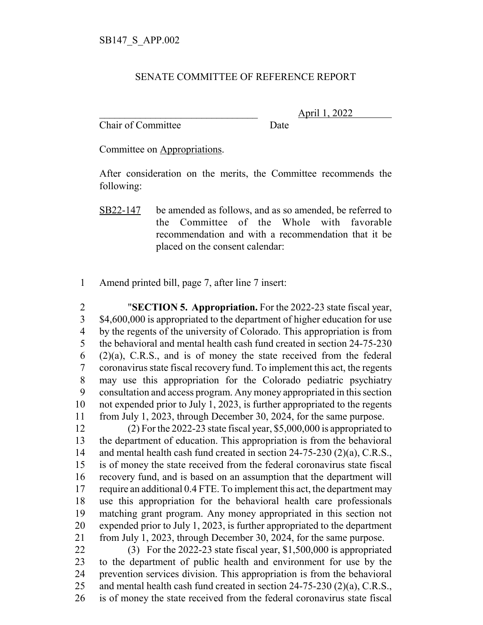## SENATE COMMITTEE OF REFERENCE REPORT

Chair of Committee Date

\_\_\_\_\_\_\_\_\_\_\_\_\_\_\_\_\_\_\_\_\_\_\_\_\_\_\_\_\_\_\_ April 1, 2022

Committee on Appropriations.

After consideration on the merits, the Committee recommends the following:

- SB22-147 be amended as follows, and as so amended, be referred to the Committee of the Whole with favorable recommendation and with a recommendation that it be placed on the consent calendar:
- Amend printed bill, page 7, after line 7 insert:

 "**SECTION 5. Appropriation.** For the 2022-23 state fiscal year, \$4,600,000 is appropriated to the department of higher education for use by the regents of the university of Colorado. This appropriation is from the behavioral and mental health cash fund created in section 24-75-230  $(2)(a)$ , C.R.S., and is of money the state received from the federal coronavirus state fiscal recovery fund. To implement this act, the regents may use this appropriation for the Colorado pediatric psychiatry consultation and access program. Any money appropriated in this section not expended prior to July 1, 2023, is further appropriated to the regents from July 1, 2023, through December 30, 2024, for the same purpose.

 (2) For the 2022-23 state fiscal year, \$5,000,000 is appropriated to the department of education. This appropriation is from the behavioral and mental health cash fund created in section 24-75-230 (2)(a), C.R.S., is of money the state received from the federal coronavirus state fiscal recovery fund, and is based on an assumption that the department will require an additional 0.4 FTE. To implement this act, the department may use this appropriation for the behavioral health care professionals matching grant program. Any money appropriated in this section not expended prior to July 1, 2023, is further appropriated to the department from July 1, 2023, through December 30, 2024, for the same purpose.

 (3) For the 2022-23 state fiscal year, \$1,500,000 is appropriated to the department of public health and environment for use by the prevention services division. This appropriation is from the behavioral and mental health cash fund created in section 24-75-230 (2)(a), C.R.S., is of money the state received from the federal coronavirus state fiscal